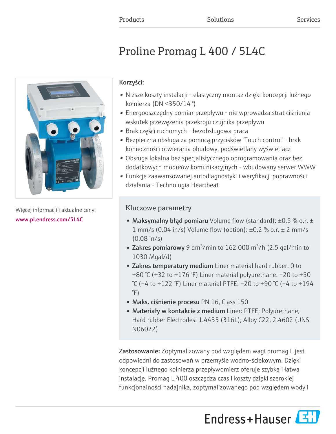# Proline Promag L 400 / 5L4C



Więcej informacji i aktualne ceny: [www.pl.endress.com/5L4C](https://www.pl.endress.com/5L4C)

## Korzyści:

- Niższe koszty instalacji elastyczny montaż dzięki koncepcji luźnego kołnierza (DN <350/14 ")
- Energooszczędny pomiar przepływu nie wprowadza strat ciśnienia wskutek przewężenia przekroju czujnika przepływu
- Brak części ruchomych bezobsługowa praca
- Bezpieczna obsługa za pomocą przycisków "Touch control" brak konieczności otwierania obudowy, podświetlany wyświetlacz
- Obsługa lokalna bez specjalistycznego oprogramowania oraz bez dodatkowych modułów komunikacyjnych - wbudowany serwer WWW
- Funkcje zaawansowanej autodiagnostyki i weryfikacji poprawności działania - Technologia Heartbeat

# Kluczowe parametry

- Maksymalny błąd pomiaru Volume flow (standard):  $\pm 0.5$  % o.r.  $\pm$ 1 mm/s (0.04 in/s) Volume flow (option): ±0.2 % o.r. ± 2 mm/s (0.08 in/s)
- Zakres pomiarowy 9 dm<sup>3</sup>/min to 162 000 m<sup>3</sup>/h (2.5 gal/min to 1030 Mgal/d)
- Zakres temperatury medium Liner material hard rubber: 0 to +80 °C (+32 to +176 °F) Liner material polyurethane: –20 to +50 °C (–4 to +122 °F) Liner material PTFE: –20 to +90 °C (–4 to +194 °F)
- Maks. ciśnienie procesu PN 16, Class 150
- Materiały w kontakcie z medium Liner: PTFE; Polyurethane; Hard rubber Electrodes: 1.4435 (316L); Alloy C22, 2.4602 (UNS N06022)

Zastosowanie: Zoptymalizowany pod względem wagi promag L jest odpowiedni do zastosowań w przemyśle wodno-ściekowym. Dzięki koncepcji luźnego kołnierza przepływomierz oferuje szybką i łatwą instalację. Promag L 400 oszczędza czas i koszty dzięki szerokiej funkcjonalności nadajnika, zoptymalizowanego pod względem wody i

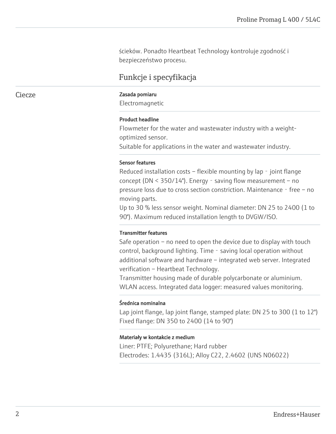ścieków. Ponadto Heartbeat Technology kontroluje zgodność i bezpieczeństwo procesu.

## Funkcje i specyfikacja

#### Ciecze **Zasada pomiaru**

Electromagnetic

#### Product headline

Flowmeter for the water and wastewater industry with a weightoptimized sensor.

Suitable for applications in the water and wastewater industry.

#### Sensor features

Reduced installation costs – flexible mounting by lap - joint flange concept (DN  $\leq$  350/14"). Energy - saving flow measurement – no pressure loss due to cross section constriction. Maintenance - free - no moving parts.

Up to 30 % less sensor weight. Nominal diameter: DN 25 to 2400 (1 to 90"). Maximum reduced installation length to DVGW/ISO.

#### Transmitter features

Safe operation – no need to open the device due to display with touch control, background lighting. Time - saving local operation without additional software and hardware – integrated web server. Integrated verification – Heartbeat Technology.

Transmitter housing made of durable polycarbonate or aluminium. WLAN access. Integrated data logger: measured values monitoring.

#### Średnica nominalna

Lap joint flange, lap joint flange, stamped plate: DN 25 to 300 (1 to 12") Fixed flange: DN 350 to 2400 (14 to 90")

#### Materiały w kontakcie z medium

Liner: PTFE; Polyurethane; Hard rubber Electrodes: 1.4435 (316L); Alloy C22, 2.4602 (UNS N06022)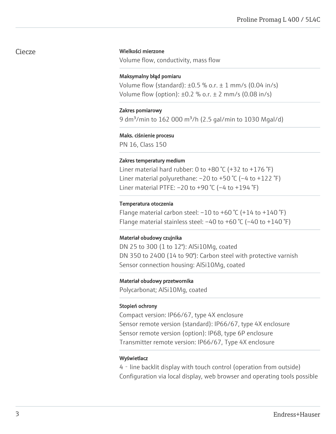### Ciecze

#### Wielkości mierzone

Volume flow, conductivity, mass flow

#### Maksymalny błąd pomiaru

Volume flow (standard):  $\pm 0.5$  % o.r.  $\pm$  1 mm/s (0.04 in/s) Volume flow (option):  $\pm 0.2$  % o.r.  $\pm$  2 mm/s (0.08 in/s)

#### Zakres pomiarowy

9 dm<sup>3</sup>/min to 162 000 m<sup>3</sup>/h (2.5 gal/min to 1030 Mgal/d)

#### Maks. ciśnienie procesu

PN 16, Class 150

#### Zakres temperatury medium

Liner material hard rubber: 0 to  $+80$  °C ( $+32$  to  $+176$  °F) Liner material polyurethane:  $-20$  to  $+50$  °C ( $-4$  to  $+122$  °F) Liner material PTFE:  $-20$  to  $+90$  °C ( $-4$  to  $+194$  °F)

#### Temperatura otoczenia

Flange material carbon steel:  $-10$  to  $+60$  °C ( $+14$  to  $+140$  °F) Flange material stainless steel:  $-40$  to  $+60$  °C ( $-40$  to  $+140$  °F)

#### Materiał obudowy czujnika

DN 25 to 300 (1 to 12"): AlSi10Mg, coated DN 350 to 2400 (14 to 90"): Carbon steel with protective varnish Sensor connection housing: AlSi10Mg, coated

#### Materiał obudowy przetwornika

Polycarbonat; AlSi10Mg, coated

#### Stopień ochrony

Compact version: IP66/67, type 4X enclosure Sensor remote version (standard): IP66/67, type 4X enclosure Sensor remote version (option): IP68, type 6P enclosure Transmitter remote version: IP66/67, Type 4X enclosure

#### Wyświetlacz

4‐line backlit display with touch control (operation from outside) Configuration via local display, web browser and operating tools possible